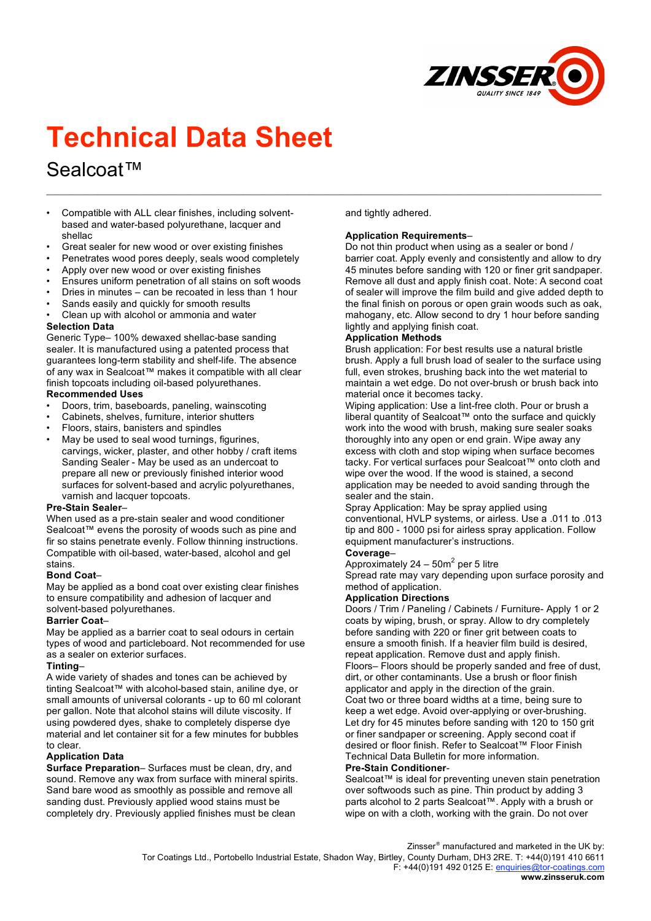

# **Technical Data Sheet**

# Sealcoat™

- Compatible with ALL clear finishes, including solventbased and water-based polyurethane, lacquer and shellac
- Great sealer for new wood or over existing finishes
- Penetrates wood pores deeply, seals wood completely
- Apply over new wood or over existing finishes
- Ensures uniform penetration of all stains on soft woods
- Dries in minutes can be recoated in less than 1 hour
- Sands easily and quickly for smooth results
- Clean up with alcohol or ammonia and water

#### **Selection Data**

Generic Type– 100% dewaxed shellac-base sanding sealer. It is manufactured using a patented process that guarantees long-term stability and shelf-life. The absence of any wax in Sealcoat™ makes it compatible with all clear finish topcoats including oil-based polyurethanes.

#### **Recommended Uses**

- Doors, trim, baseboards, paneling, wainscoting
- Cabinets, shelves, furniture, interior shutters
- Floors, stairs, banisters and spindles
- May be used to seal wood turnings, figurines, carvings, wicker, plaster, and other hobby / craft items Sanding Sealer - May be used as an undercoat to prepare all new or previously finished interior wood surfaces for solvent-based and acrylic polyurethanes, varnish and lacquer topcoats.

#### **Pre-Stain Sealer**–

When used as a pre-stain sealer and wood conditioner Sealcoat™ evens the porosity of woods such as pine and fir so stains penetrate evenly. Follow thinning instructions. Compatible with oil-based, water-based, alcohol and gel stains.

#### **Bond Coat**–

May be applied as a bond coat over existing clear finishes to ensure compatibility and adhesion of lacquer and solvent-based polyurethanes.

#### **Barrier Coat**–

May be applied as a barrier coat to seal odours in certain types of wood and particleboard. Not recommended for use as a sealer on exterior surfaces.

#### **Tinting**–

A wide variety of shades and tones can be achieved by tinting Sealcoat™ with alcohol-based stain, aniline dye, or small amounts of universal colorants - up to 60 ml colorant per gallon. Note that alcohol stains will dilute viscosity. If using powdered dyes, shake to completely disperse dye material and let container sit for a few minutes for bubbles to clear.

#### **Application Data**

**Surface Preparation**– Surfaces must be clean, dry, and sound. Remove any wax from surface with mineral spirits. Sand bare wood as smoothly as possible and remove all sanding dust. Previously applied wood stains must be completely dry. Previously applied finishes must be clean

and tightly adhered.

**\_\_\_\_\_\_\_\_\_\_\_\_\_\_\_\_\_\_\_\_\_\_\_\_\_\_\_\_\_\_\_\_\_\_\_\_\_\_\_\_\_\_\_\_\_\_\_\_\_\_\_\_\_\_\_\_\_\_\_\_\_\_\_\_\_\_\_\_\_\_\_\_\_\_\_\_**

#### **Application Requirements**–

Do not thin product when using as a sealer or bond / barrier coat. Apply evenly and consistently and allow to dry 45 minutes before sanding with 120 or finer grit sandpaper. Remove all dust and apply finish coat. Note: A second coat of sealer will improve the film build and give added depth to the final finish on porous or open grain woods such as oak, mahogany, etc. Allow second to dry 1 hour before sanding lightly and applying finish coat.

#### **Application Methods**

Brush application: For best results use a natural bristle brush. Apply a full brush load of sealer to the surface using full, even strokes, brushing back into the wet material to maintain a wet edge. Do not over-brush or brush back into material once it becomes tacky.

Wiping application: Use a lint-free cloth. Pour or brush a liberal quantity of Sealcoat™ onto the surface and quickly work into the wood with brush, making sure sealer soaks thoroughly into any open or end grain. Wipe away any excess with cloth and stop wiping when surface becomes tacky. For vertical surfaces pour Sealcoat™ onto cloth and wipe over the wood. If the wood is stained, a second application may be needed to avoid sanding through the sealer and the stain.

Spray Application: May be spray applied using conventional, HVLP systems, or airless. Use a .011 to .013 tip and 800 - 1000 psi for airless spray application. Follow equipment manufacturer's instructions.

# **Coverage**–

Approximately  $24 - 50m^2$  per 5 litre

Spread rate may vary depending upon surface porosity and method of application.

#### **Application Directions**

Doors / Trim / Paneling / Cabinets / Furniture- Apply 1 or 2 coats by wiping, brush, or spray. Allow to dry completely before sanding with 220 or finer grit between coats to ensure a smooth finish. If a heavier film build is desired, repeat application. Remove dust and apply finish. Floors– Floors should be properly sanded and free of dust, dirt, or other contaminants. Use a brush or floor finish applicator and apply in the direction of the grain. Coat two or three board widths at a time, being sure to keep a wet edge. Avoid over-applying or over-brushing. Let dry for 45 minutes before sanding with 120 to 150 grit or finer sandpaper or screening. Apply second coat if desired or floor finish. Refer to Sealcoat™ Floor Finish Technical Data Bulletin for more information.

# **Pre-Stain Conditioner**-

Sealcoat™ is ideal for preventing uneven stain penetration over softwoods such as pine. Thin product by adding 3 parts alcohol to 2 parts Sealcoat™. Apply with a brush or wipe on with a cloth, working with the grain. Do not over